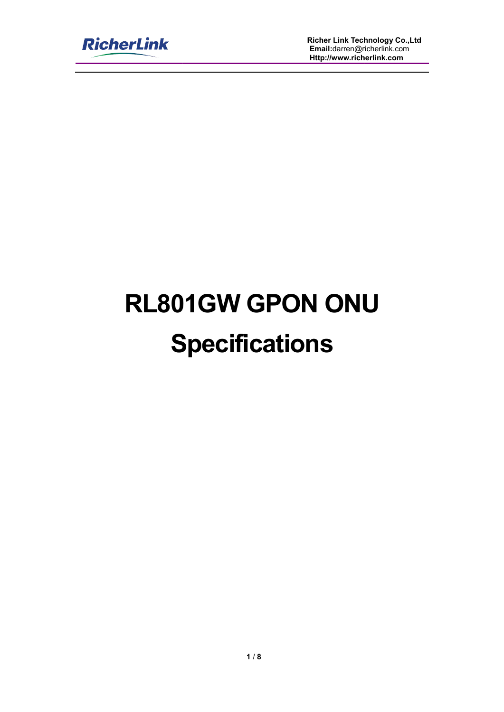

**Richer Link Technology Co.,Ltd Email:**darren@richerlink.com **Http://www.richerlink.com Http://www.richerlink.comink** darren@richerlink.com

# **RL801GW GPON ONU Specifications**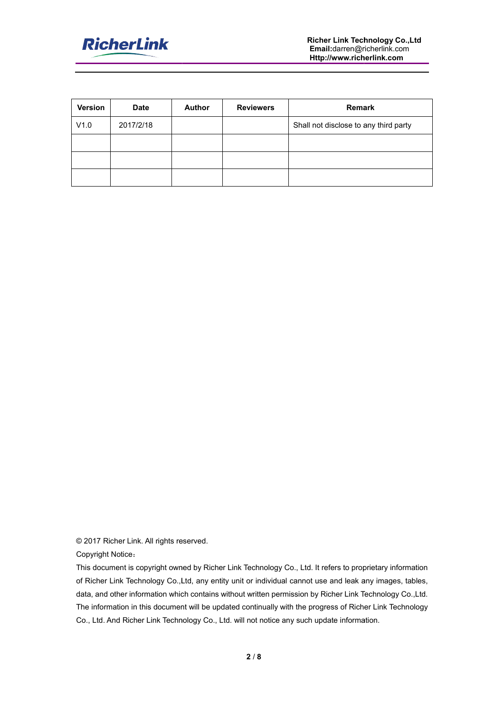

| Version           | <b>Date</b>                              | <b>Author</b> | <b>Reviewers</b> | Remark                                |
|-------------------|------------------------------------------|---------------|------------------|---------------------------------------|
| V1.0              | 2017/2/18                                |               |                  | Shall not disclose to any third party |
|                   |                                          |               |                  |                                       |
|                   |                                          |               |                  |                                       |
|                   |                                          |               |                  |                                       |
|                   |                                          |               |                  |                                       |
|                   |                                          |               |                  |                                       |
|                   |                                          |               |                  |                                       |
|                   |                                          |               |                  |                                       |
|                   |                                          |               |                  |                                       |
|                   |                                          |               |                  |                                       |
|                   |                                          |               |                  |                                       |
|                   |                                          |               |                  |                                       |
|                   |                                          |               |                  |                                       |
|                   |                                          |               |                  |                                       |
|                   |                                          |               |                  |                                       |
|                   |                                          |               |                  |                                       |
|                   |                                          |               |                  |                                       |
|                   |                                          |               |                  |                                       |
|                   |                                          |               |                  |                                       |
|                   |                                          |               |                  |                                       |
|                   |                                          |               |                  |                                       |
|                   |                                          |               |                  |                                       |
|                   |                                          |               |                  |                                       |
|                   |                                          |               |                  |                                       |
|                   |                                          |               |                  |                                       |
|                   |                                          |               |                  |                                       |
|                   |                                          |               |                  |                                       |
|                   |                                          |               |                  |                                       |
|                   |                                          |               |                  |                                       |
|                   |                                          |               |                  |                                       |
|                   |                                          |               |                  |                                       |
|                   |                                          |               |                  |                                       |
| Copyright Notice: | © 2017 Richer Link. All rights reserved. |               |                  |                                       |

This document is copyright owned by Richer Link Technology Co., Ltd. It refers to proprietary information of Richer Link Technology Co.,Ltd, any entity unit or individual cannot use and leak any images, data, and other information which contains without written permission by Richer Link Technology Co.,Ltd. The information in this document will be updated continually with the progress of Richer Link Technology Co., Ltd. And Richer Link Technology C Co., Ltd. will not notice any such update information. and other information which contains without written permission by Richer Link Technology Co.,Ltd.<br>nformation in this document will be updated continually with the progress of Richer Link Technology<br>.td. And Richer Link Te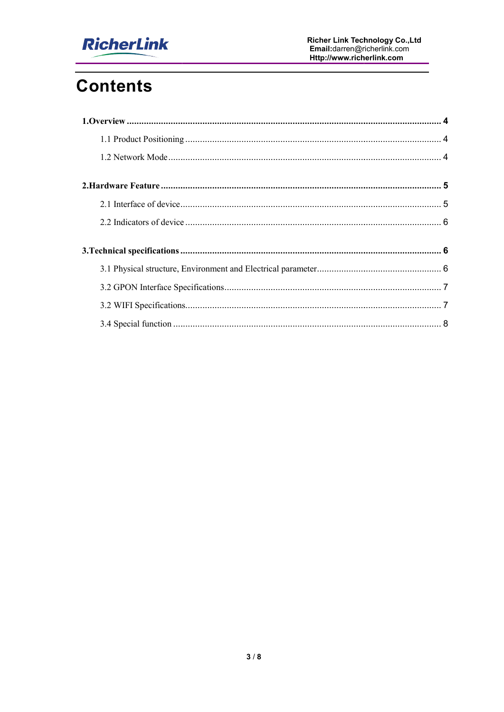

# **Contents**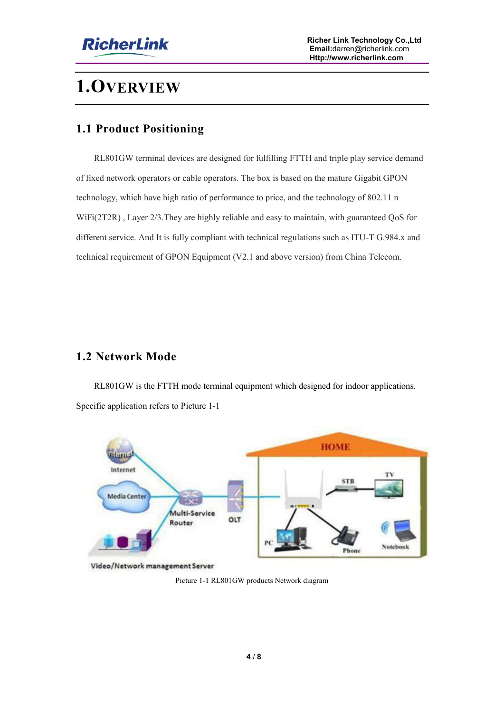

## **1.OVERVIEW**

#### **1.1 Product Positioning**

RL801GW terminal devices are designed for fulfilling FTTH and triple play service demand of fixed network operators or cable operators. The box is based on the mature Gigabit GPON RL801GW terminal devices are designed for fulfilling FTTH and triple play service dof fixed network operators or cable operators. The box is based on the mature Gigabit GPO technology, which have high ratio of performance WiFi(2T2R) , Layer 2/3.They are highly reliable and easy to maintain, with guaranteed QoS for WiFi(2T2R), Layer 2/3. They are highly reliable and easy to maintain, with guaranteed QoS for different service. And It is fully compliant with technical regulations such as ITU-T G.984.x and WiFi(2T2R), Layer 2/3. They are highly reliable and easy to maintain, with guaranteed QoS<br>different service. And It is fully compliant with technical regulations such as ITU-T G.984.<br>technical requirement of GPON Equipment

#### **1.2 Network Mode**

RL801GW is the FTTH mode terminal equipment which designed for indoor applications. Specific application refers to Picture 1 1-1 ment of GPON Equipment (V2.1 and above version) from China Telecom.<br> **k Mode**<br>
is the FTTH mode terminal equipment which designed for indoor applications.



Video/Network management Server

Picture 1 1-1 RL801GW products Network diagram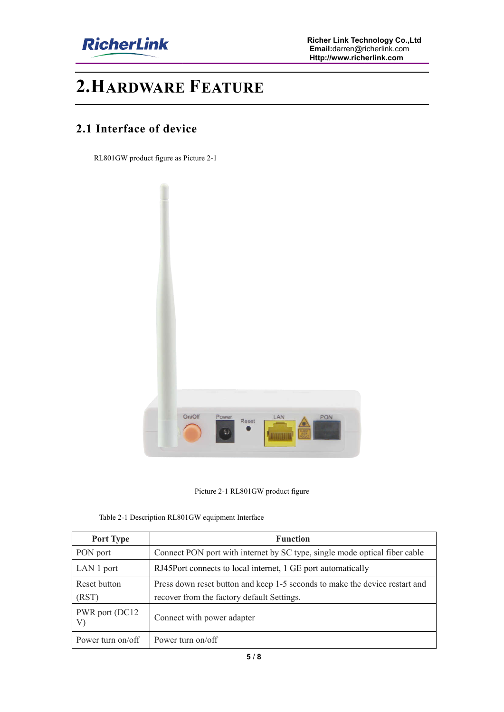

## **2.HARDWARE FEATURE**

#### **2.1 Interface of device**

RL801GW product figure as Picture 2 2-1



Picture 2-1 RL801GW product figure

|  | Table 2-1 Description RL801GW equipment Interface |  |  |
|--|---------------------------------------------------|--|--|
|  |                                                   |  |  |

| Port Type             | <b>Function</b>                                                             |
|-----------------------|-----------------------------------------------------------------------------|
| PON port              | Connect PON port with internet by SC type, single mode optical fiber cable  |
| LAN 1 port            | RJ45Port connects to local internet, 1 GE port automatically                |
| Reset button          | Press down reset button and keep 1-5 seconds to make the device restart and |
| (RST)                 | recover from the factory default Settings.                                  |
| PWR port (DC12)<br>V) | Connect with power adapter                                                  |
| Power turn on/off     | Power turn on/off                                                           |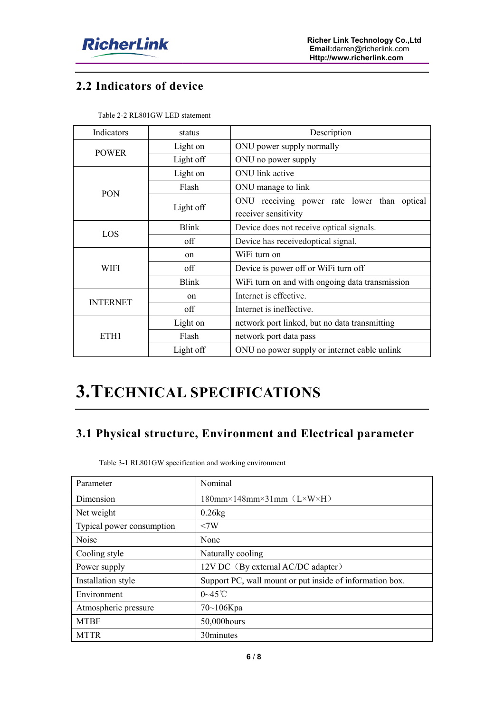

### **2.2 Indicators of device**

| Indicators      | status        | Description                                     |  |  |
|-----------------|---------------|-------------------------------------------------|--|--|
|                 | Light on      | ONU power supply normally                       |  |  |
| <b>POWER</b>    | Light off     | ONU no power supply                             |  |  |
|                 | Light on      | ONU link active                                 |  |  |
| <b>PON</b>      | Flash         | ONU manage to link                              |  |  |
|                 | Light off     | ONU receiving power rate lower than optical     |  |  |
|                 |               | receiver sensitivity                            |  |  |
| LOS             | <b>Blink</b>  | Device does not receive optical signals.        |  |  |
|                 | off           | Device has received optical signal.             |  |  |
| WIFI            | on            | WiFi turn on                                    |  |  |
|                 | off           | Device is power off or WiFi turn off            |  |  |
|                 | <b>Blink</b>  | WiFi turn on and with ongoing data transmission |  |  |
| <b>INTERNET</b> | <sub>on</sub> | Internet is effective.                          |  |  |
|                 | off           | Internet is ineffective.                        |  |  |
| ETH1            | Light on      | network port linked, but no data transmitting   |  |  |
|                 | Flash         | network port data pass                          |  |  |
|                 | Light off     | ONU no power supply or internet cable unlink    |  |  |

Table 2-2 RL801GW LED statement

# **3.TECHNICAL SPECIFICATI ECHNICAL SPECIFICATIONS**

#### **3.1 Physical structure, Environment and Electrical parameter**

Table 3-1 RL801GW specification and working environment

| Parameter                 | Nominal                                                  |
|---------------------------|----------------------------------------------------------|
| Dimension                 | $180$ mm×148mm×31mm (L×W×H)                              |
| Net weight                | $0.26$ kg                                                |
| Typical power consumption | <7W                                                      |
| <b>Noise</b>              | None                                                     |
| Cooling style             | Naturally cooling                                        |
| Power supply              | 12V DC (By external AC/DC adapter)                       |
| Installation style        | Support PC, wall mount or put inside of information box. |
| Environment               | $0 - 45$ °C                                              |
| Atmospheric pressure      | $70 - 106$ Kpa                                           |
| <b>MTBF</b>               | 50,000 hours                                             |
| <b>MTTR</b>               | 30minutes                                                |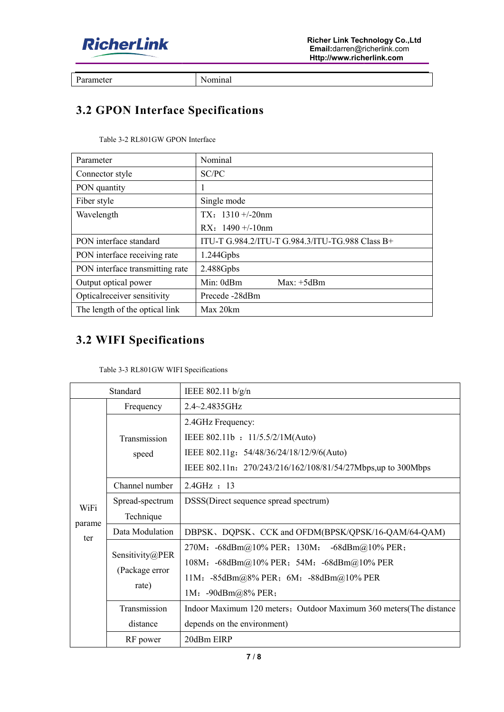

Parameter

Nominal

## **3.2 GPON Interface Specifications**

| Table 3-2 RL801GW GPON Interface |
|----------------------------------|
|                                  |

| Parameter                       | Nominal                                         |
|---------------------------------|-------------------------------------------------|
| Connector style                 | SC/PC                                           |
| PON quantity                    | 1                                               |
| Fiber style                     | Single mode                                     |
| Wavelength                      | TX: $1310 + (-20nm)$                            |
|                                 | RX: $1490 + (-10nm)$                            |
| PON interface standard          | ITU-T G.984.2/ITU-T G.984.3/ITU-TG.988 Class B+ |
| PON interface receiving rate    | 1.244Gpbs                                       |
| PON interface transmitting rate | 2.488Gpbs                                       |
| Output optical power            | Min:0dBm<br>$Max: +5dBm$                        |
| Optical receiver sensitivity    | Precede -28dBm                                  |
| The length of the optical link  | Max 20km                                        |

## **3.2 WIFI Specifications**

| Table 3-3 RL801GW WIFI Specifications |
|---------------------------------------|
|---------------------------------------|

| PON interface standard                                                  |                                            | ITU-T G.984.2/ITU-T G.984.3/ITU-TG.988 Class B+                                                                                                                   |  |
|-------------------------------------------------------------------------|--------------------------------------------|-------------------------------------------------------------------------------------------------------------------------------------------------------------------|--|
| PON interface receiving rate                                            |                                            | 1.244Gpbs                                                                                                                                                         |  |
| PON interface transmitting rate                                         |                                            | 2.488Gpbs                                                                                                                                                         |  |
|                                                                         | Output optical power                       | Min: 0dBm<br>Max: +5dBm                                                                                                                                           |  |
|                                                                         | Optical receiver sensitivity               | Precede-28dBm                                                                                                                                                     |  |
|                                                                         | The length of the optical link             | Max 20km                                                                                                                                                          |  |
| <b>3.2 WIFI Specifications</b><br>Table 3-3 RL801GW WIFI Specifications |                                            |                                                                                                                                                                   |  |
|                                                                         | Standard                                   | IEEE 802.11 b/g/n                                                                                                                                                 |  |
|                                                                         | Frequency                                  | 2.4~2.4835GHz                                                                                                                                                     |  |
|                                                                         | Transmission<br>speed                      | 2.4GHz Frequency:<br>IEEE 802.11b: 11/5.5/2/1M(Auto)<br>IEEE 802.11g: 54/48/36/24/18/12/9/6(Auto)<br>IEEE 802.11n: 270/243/216/162/108/81/54/27Mbps,up to 300Mbps |  |
|                                                                         | Channel number                             | 2.4GHz : 13                                                                                                                                                       |  |
| WiFi<br>parame                                                          | Spread-spectrum<br>Technique               | DSSS(Direct sequence spread spectrum)                                                                                                                             |  |
|                                                                         | Data Modulation                            | DBPSK、DQPSK、CCK and OFDM(BPSK/QPSK/16-QAM/64-QAM)                                                                                                                 |  |
| ter                                                                     | Sensitivity@PER<br>(Package error<br>rate) | 270M: -68dBm@10% PER; 130M:<br>-68dBm $@10\%$ PER;<br>108M: -68dBm@10% PER; 54M: -68dBm@10% PER<br>11M: -85dBm@8% PER; 6M: -88dBm@10% PER<br>1M: -90dBm@8% PER;   |  |
|                                                                         | Transmission                               | Indoor Maximum 120 meters; Outdoor Maximum 360 meters(The distance                                                                                                |  |
|                                                                         | distance                                   | depends on the environment)                                                                                                                                       |  |
|                                                                         | RF power                                   | 20dBm EIRP                                                                                                                                                        |  |